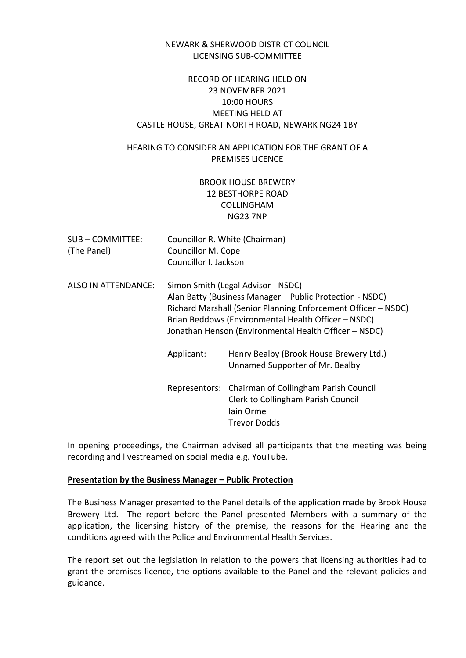### NEWARK & SHERWOOD DISTRICT COUNCIL LICENSING SUB-COMMITTEE

### RECORD OF HEARING HELD ON 23 NOVEMBER 2021 10:00 HOURS MEETING HELD AT CASTLE HOUSE, GREAT NORTH ROAD, NEWARK NG24 1BY

## HEARING TO CONSIDER AN APPLICATION FOR THE GRANT OF A PREMISES LICENCE

# BROOK HOUSE BREWERY 12 BESTHORPE ROAD COLLINGHAM NG23 7NP

- SUB COMMITTEE: Councillor R. White (Chairman) (The Panel) Councillor M. Cope Councillor I. Jackson
- ALSO IN ATTENDANCE: Simon Smith (Legal Advisor NSDC) Alan Batty (Business Manager – Public Protection - NSDC) Richard Marshall (Senior Planning Enforcement Officer – NSDC) Brian Beddows (Environmental Health Officer – NSDC) Jonathan Henson (Environmental Health Officer – NSDC)
	- Applicant: Henry Bealby (Brook House Brewery Ltd.) Unnamed Supporter of Mr. Bealby Representors: Chairman of Collingham Parish Council Clerk to Collingham Parish Council Iain Orme Trevor Dodds

In opening proceedings, the Chairman advised all participants that the meeting was being recording and livestreamed on social media e.g. YouTube.

#### **Presentation by the Business Manager – Public Protection**

The Business Manager presented to the Panel details of the application made by Brook House Brewery Ltd. The report before the Panel presented Members with a summary of the application, the licensing history of the premise, the reasons for the Hearing and the conditions agreed with the Police and Environmental Health Services.

The report set out the legislation in relation to the powers that licensing authorities had to grant the premises licence, the options available to the Panel and the relevant policies and guidance.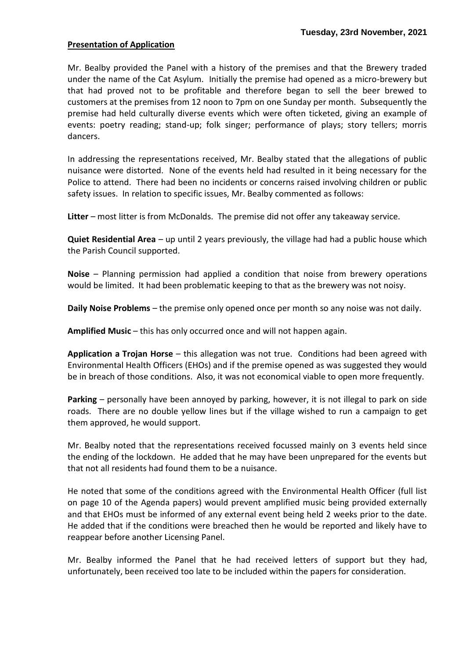#### **Presentation of Application**

Mr. Bealby provided the Panel with a history of the premises and that the Brewery traded under the name of the Cat Asylum. Initially the premise had opened as a micro-brewery but that had proved not to be profitable and therefore began to sell the beer brewed to customers at the premises from 12 noon to 7pm on one Sunday per month. Subsequently the premise had held culturally diverse events which were often ticketed, giving an example of events: poetry reading; stand-up; folk singer; performance of plays; story tellers; morris dancers.

In addressing the representations received, Mr. Bealby stated that the allegations of public nuisance were distorted. None of the events held had resulted in it being necessary for the Police to attend. There had been no incidents or concerns raised involving children or public safety issues. In relation to specific issues, Mr. Bealby commented as follows:

**Litter** – most litter is from McDonalds. The premise did not offer any takeaway service.

**Quiet Residential Area** – up until 2 years previously, the village had had a public house which the Parish Council supported.

**Noise** – Planning permission had applied a condition that noise from brewery operations would be limited. It had been problematic keeping to that as the brewery was not noisy.

**Daily Noise Problems** – the premise only opened once per month so any noise was not daily.

**Amplified Music** – this has only occurred once and will not happen again.

**Application a Trojan Horse** – this allegation was not true. Conditions had been agreed with Environmental Health Officers (EHOs) and if the premise opened as was suggested they would be in breach of those conditions. Also, it was not economical viable to open more frequently.

**Parking** – personally have been annoyed by parking, however, it is not illegal to park on side roads. There are no double yellow lines but if the village wished to run a campaign to get them approved, he would support.

Mr. Bealby noted that the representations received focussed mainly on 3 events held since the ending of the lockdown. He added that he may have been unprepared for the events but that not all residents had found them to be a nuisance.

He noted that some of the conditions agreed with the Environmental Health Officer (full list on page 10 of the Agenda papers) would prevent amplified music being provided externally and that EHOs must be informed of any external event being held 2 weeks prior to the date. He added that if the conditions were breached then he would be reported and likely have to reappear before another Licensing Panel.

Mr. Bealby informed the Panel that he had received letters of support but they had, unfortunately, been received too late to be included within the papers for consideration.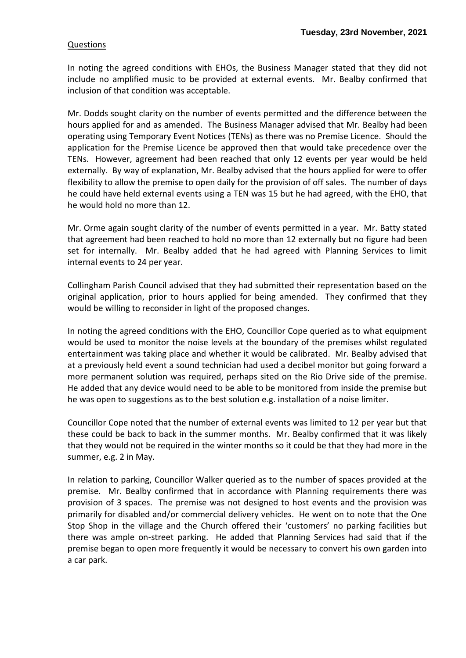### Questions

In noting the agreed conditions with EHOs, the Business Manager stated that they did not include no amplified music to be provided at external events. Mr. Bealby confirmed that inclusion of that condition was acceptable.

Mr. Dodds sought clarity on the number of events permitted and the difference between the hours applied for and as amended. The Business Manager advised that Mr. Bealby had been operating using Temporary Event Notices (TENs) as there was no Premise Licence. Should the application for the Premise Licence be approved then that would take precedence over the TENs. However, agreement had been reached that only 12 events per year would be held externally. By way of explanation, Mr. Bealby advised that the hours applied for were to offer flexibility to allow the premise to open daily for the provision of off sales. The number of days he could have held external events using a TEN was 15 but he had agreed, with the EHO, that he would hold no more than 12.

Mr. Orme again sought clarity of the number of events permitted in a year. Mr. Batty stated that agreement had been reached to hold no more than 12 externally but no figure had been set for internally. Mr. Bealby added that he had agreed with Planning Services to limit internal events to 24 per year.

Collingham Parish Council advised that they had submitted their representation based on the original application, prior to hours applied for being amended. They confirmed that they would be willing to reconsider in light of the proposed changes.

In noting the agreed conditions with the EHO, Councillor Cope queried as to what equipment would be used to monitor the noise levels at the boundary of the premises whilst regulated entertainment was taking place and whether it would be calibrated. Mr. Bealby advised that at a previously held event a sound technician had used a decibel monitor but going forward a more permanent solution was required, perhaps sited on the Rio Drive side of the premise. He added that any device would need to be able to be monitored from inside the premise but he was open to suggestions as to the best solution e.g. installation of a noise limiter.

Councillor Cope noted that the number of external events was limited to 12 per year but that these could be back to back in the summer months. Mr. Bealby confirmed that it was likely that they would not be required in the winter months so it could be that they had more in the summer, e.g. 2 in May.

In relation to parking, Councillor Walker queried as to the number of spaces provided at the premise. Mr. Bealby confirmed that in accordance with Planning requirements there was provision of 3 spaces. The premise was not designed to host events and the provision was primarily for disabled and/or commercial delivery vehicles. He went on to note that the One Stop Shop in the village and the Church offered their 'customers' no parking facilities but there was ample on-street parking. He added that Planning Services had said that if the premise began to open more frequently it would be necessary to convert his own garden into a car park.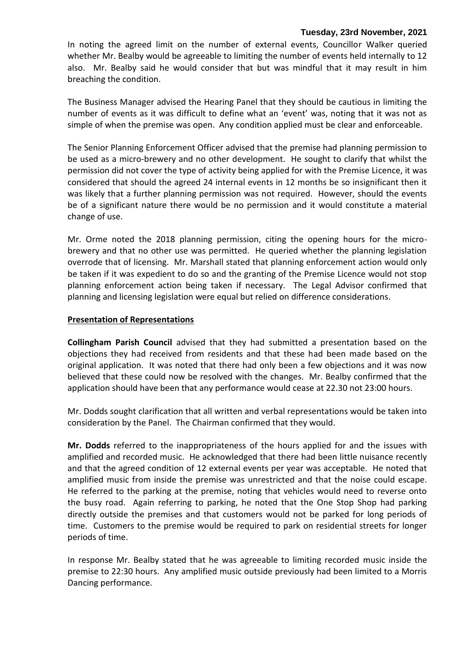#### **Tuesday, 23rd November, 2021**

In noting the agreed limit on the number of external events, Councillor Walker queried whether Mr. Bealby would be agreeable to limiting the number of events held internally to 12 also. Mr. Bealby said he would consider that but was mindful that it may result in him breaching the condition.

The Business Manager advised the Hearing Panel that they should be cautious in limiting the number of events as it was difficult to define what an 'event' was, noting that it was not as simple of when the premise was open. Any condition applied must be clear and enforceable.

The Senior Planning Enforcement Officer advised that the premise had planning permission to be used as a micro-brewery and no other development. He sought to clarify that whilst the permission did not cover the type of activity being applied for with the Premise Licence, it was considered that should the agreed 24 internal events in 12 months be so insignificant then it was likely that a further planning permission was not required. However, should the events be of a significant nature there would be no permission and it would constitute a material change of use.

Mr. Orme noted the 2018 planning permission, citing the opening hours for the microbrewery and that no other use was permitted. He queried whether the planning legislation overrode that of licensing. Mr. Marshall stated that planning enforcement action would only be taken if it was expedient to do so and the granting of the Premise Licence would not stop planning enforcement action being taken if necessary. The Legal Advisor confirmed that planning and licensing legislation were equal but relied on difference considerations.

#### **Presentation of Representations**

**Collingham Parish Council** advised that they had submitted a presentation based on the objections they had received from residents and that these had been made based on the original application. It was noted that there had only been a few objections and it was now believed that these could now be resolved with the changes. Mr. Bealby confirmed that the application should have been that any performance would cease at 22.30 not 23:00 hours.

Mr. Dodds sought clarification that all written and verbal representations would be taken into consideration by the Panel. The Chairman confirmed that they would.

**Mr. Dodds** referred to the inappropriateness of the hours applied for and the issues with amplified and recorded music. He acknowledged that there had been little nuisance recently and that the agreed condition of 12 external events per year was acceptable. He noted that amplified music from inside the premise was unrestricted and that the noise could escape. He referred to the parking at the premise, noting that vehicles would need to reverse onto the busy road. Again referring to parking, he noted that the One Stop Shop had parking directly outside the premises and that customers would not be parked for long periods of time. Customers to the premise would be required to park on residential streets for longer periods of time.

In response Mr. Bealby stated that he was agreeable to limiting recorded music inside the premise to 22:30 hours. Any amplified music outside previously had been limited to a Morris Dancing performance.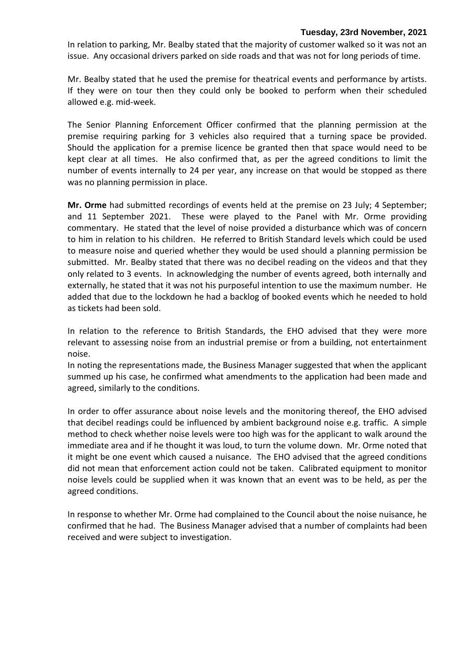#### **Tuesday, 23rd November, 2021**

In relation to parking, Mr. Bealby stated that the majority of customer walked so it was not an issue. Any occasional drivers parked on side roads and that was not for long periods of time.

Mr. Bealby stated that he used the premise for theatrical events and performance by artists. If they were on tour then they could only be booked to perform when their scheduled allowed e.g. mid-week.

The Senior Planning Enforcement Officer confirmed that the planning permission at the premise requiring parking for 3 vehicles also required that a turning space be provided. Should the application for a premise licence be granted then that space would need to be kept clear at all times. He also confirmed that, as per the agreed conditions to limit the number of events internally to 24 per year, any increase on that would be stopped as there was no planning permission in place.

**Mr. Orme** had submitted recordings of events held at the premise on 23 July; 4 September; and 11 September 2021. These were played to the Panel with Mr. Orme providing commentary. He stated that the level of noise provided a disturbance which was of concern to him in relation to his children. He referred to British Standard levels which could be used to measure noise and queried whether they would be used should a planning permission be submitted. Mr. Bealby stated that there was no decibel reading on the videos and that they only related to 3 events. In acknowledging the number of events agreed, both internally and externally, he stated that it was not his purposeful intention to use the maximum number. He added that due to the lockdown he had a backlog of booked events which he needed to hold as tickets had been sold.

In relation to the reference to British Standards, the EHO advised that they were more relevant to assessing noise from an industrial premise or from a building, not entertainment noise.

In noting the representations made, the Business Manager suggested that when the applicant summed up his case, he confirmed what amendments to the application had been made and agreed, similarly to the conditions.

In order to offer assurance about noise levels and the monitoring thereof, the EHO advised that decibel readings could be influenced by ambient background noise e.g. traffic. A simple method to check whether noise levels were too high was for the applicant to walk around the immediate area and if he thought it was loud, to turn the volume down. Mr. Orme noted that it might be one event which caused a nuisance. The EHO advised that the agreed conditions did not mean that enforcement action could not be taken. Calibrated equipment to monitor noise levels could be supplied when it was known that an event was to be held, as per the agreed conditions.

In response to whether Mr. Orme had complained to the Council about the noise nuisance, he confirmed that he had. The Business Manager advised that a number of complaints had been received and were subject to investigation.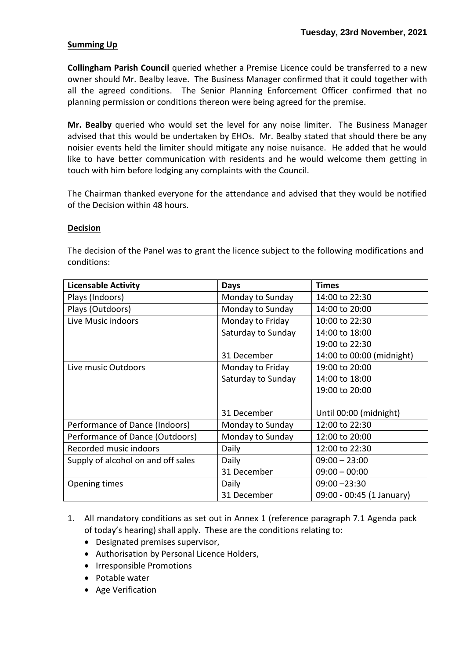## **Summing Up**

**Collingham Parish Council** queried whether a Premise Licence could be transferred to a new owner should Mr. Bealby leave. The Business Manager confirmed that it could together with all the agreed conditions. The Senior Planning Enforcement Officer confirmed that no planning permission or conditions thereon were being agreed for the premise.

**Mr. Bealby** queried who would set the level for any noise limiter. The Business Manager advised that this would be undertaken by EHOs. Mr. Bealby stated that should there be any noisier events held the limiter should mitigate any noise nuisance. He added that he would like to have better communication with residents and he would welcome them getting in touch with him before lodging any complaints with the Council.

The Chairman thanked everyone for the attendance and advised that they would be notified of the Decision within 48 hours.

#### **Decision**

The decision of the Panel was to grant the licence subject to the following modifications and conditions:

| <b>Licensable Activity</b>         | <b>Days</b>        | <b>Times</b>              |
|------------------------------------|--------------------|---------------------------|
| Plays (Indoors)                    | Monday to Sunday   | 14:00 to 22:30            |
| Plays (Outdoors)                   | Monday to Sunday   | 14:00 to 20:00            |
| Live Music indoors                 | Monday to Friday   | 10:00 to 22:30            |
|                                    | Saturday to Sunday | 14:00 to 18:00            |
|                                    |                    | 19:00 to 22:30            |
|                                    | 31 December        | 14:00 to 00:00 (midnight) |
| Live music Outdoors                | Monday to Friday   | 19:00 to 20:00            |
|                                    | Saturday to Sunday | 14:00 to 18:00            |
|                                    |                    | 19:00 to 20:00            |
|                                    |                    |                           |
|                                    | 31 December        | Until 00:00 (midnight)    |
| Performance of Dance (Indoors)     | Monday to Sunday   | 12:00 to 22:30            |
| Performance of Dance (Outdoors)    | Monday to Sunday   | 12:00 to 20:00            |
| Recorded music indoors             | Daily              | 12:00 to 22:30            |
| Supply of alcohol on and off sales | Daily              | $09:00 - 23:00$           |
|                                    | 31 December        | $09:00 - 00:00$           |
| Opening times                      | Daily              | $09:00 - 23:30$           |
|                                    | 31 December        | 09:00 - 00:45 (1 January) |

- 1. All mandatory conditions as set out in Annex 1 (reference paragraph 7.1 Agenda pack of today's hearing) shall apply. These are the conditions relating to:
	- Designated premises supervisor,
	- Authorisation by Personal Licence Holders,
	- Irresponsible Promotions
	- Potable water
	- Age Verification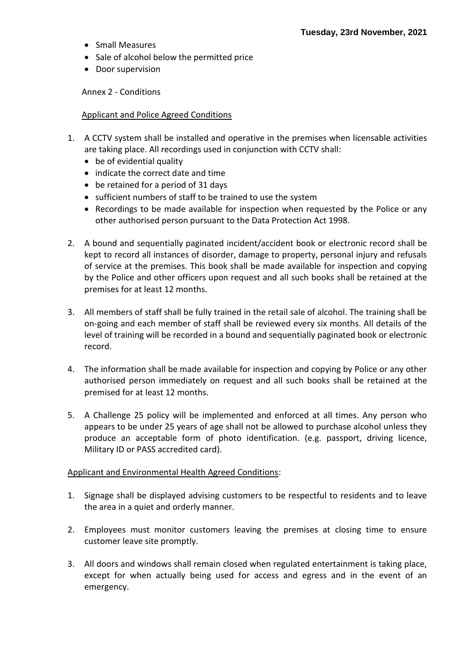- Small Measures
- Sale of alcohol below the permitted price
- Door supervision

Annex 2 - Conditions

#### Applicant and Police Agreed Conditions

- 1. A CCTV system shall be installed and operative in the premises when licensable activities are taking place. All recordings used in conjunction with CCTV shall:
	- be of evidential quality
	- indicate the correct date and time
	- be retained for a period of 31 days
	- sufficient numbers of staff to be trained to use the system
	- Recordings to be made available for inspection when requested by the Police or any other authorised person pursuant to the Data Protection Act 1998.
- 2. A bound and sequentially paginated incident/accident book or electronic record shall be kept to record all instances of disorder, damage to property, personal injury and refusals of service at the premises. This book shall be made available for inspection and copying by the Police and other officers upon request and all such books shall be retained at the premises for at least 12 months.
- 3. All members of staff shall be fully trained in the retail sale of alcohol. The training shall be on-going and each member of staff shall be reviewed every six months. All details of the level of training will be recorded in a bound and sequentially paginated book or electronic record.
- 4. The information shall be made available for inspection and copying by Police or any other authorised person immediately on request and all such books shall be retained at the premised for at least 12 months.
- 5. A Challenge 25 policy will be implemented and enforced at all times. Any person who appears to be under 25 years of age shall not be allowed to purchase alcohol unless they produce an acceptable form of photo identification. (e.g. passport, driving licence, Military ID or PASS accredited card).

#### Applicant and Environmental Health Agreed Conditions:

- 1. Signage shall be displayed advising customers to be respectful to residents and to leave the area in a quiet and orderly manner.
- 2. Employees must monitor customers leaving the premises at closing time to ensure customer leave site promptly.
- 3. All doors and windows shall remain closed when regulated entertainment is taking place, except for when actually being used for access and egress and in the event of an emergency.